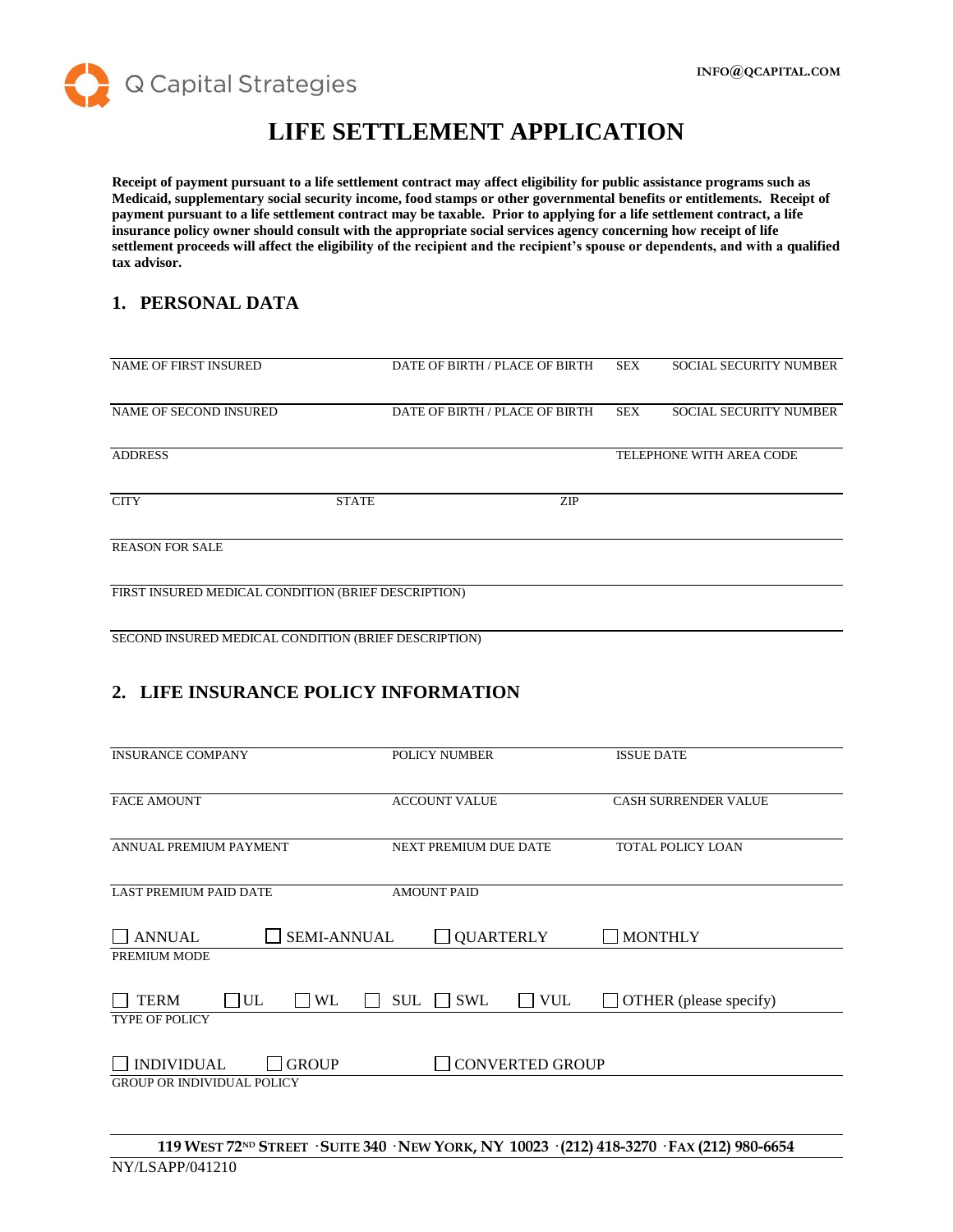

# **LIFE SETTLEMENT APPLICATION**

**Receipt of payment pursuant to a life settlement contract may affect eligibility for public assistance programs such as Medicaid, supplementary social security income, food stamps or other governmental benefits or entitlements. Receipt of payment pursuant to a life settlement contract may be taxable. Prior to applying for a life settlement contract, a life insurance policy owner should consult with the appropriate social services agency concerning how receipt of life settlement proceeds will affect the eligibility of the recipient and the recipient's spouse or dependents, and with a qualified tax advisor.**

#### **1. PERSONAL DATA**

| <b>NAME OF FIRST INSURED</b>                        |              | DATE OF BIRTH / PLACE OF BIRTH | <b>SEX</b> | <b>SOCIAL SECURITY NUMBER</b> |
|-----------------------------------------------------|--------------|--------------------------------|------------|-------------------------------|
|                                                     |              |                                |            |                               |
|                                                     |              |                                |            |                               |
| NAME OF SECOND INSURED                              |              | DATE OF BIRTH / PLACE OF BIRTH | <b>SEX</b> | <b>SOCIAL SECURITY NUMBER</b> |
|                                                     |              |                                |            |                               |
|                                                     |              |                                |            |                               |
| <b>ADDRESS</b>                                      |              |                                |            | TELEPHONE WITH AREA CODE      |
|                                                     |              |                                |            |                               |
|                                                     |              |                                |            |                               |
| <b>CITY</b>                                         | <b>STATE</b> | <b>ZIP</b>                     |            |                               |
|                                                     |              |                                |            |                               |
|                                                     |              |                                |            |                               |
| <b>REASON FOR SALE</b>                              |              |                                |            |                               |
|                                                     |              |                                |            |                               |
|                                                     |              |                                |            |                               |
| FIRST INSURED MEDICAL CONDITION (BRIEF DESCRIPTION) |              |                                |            |                               |
|                                                     |              |                                |            |                               |
|                                                     |              |                                |            |                               |

SECOND INSURED MEDICAL CONDITION (BRIEF DESCRIPTION)

## **2. LIFE INSURANCE POLICY INFORMATION**

| <b>INSURANCE COMPANY</b>                                                                                | <b>POLICY NUMBER</b>                   | <b>ISSUE DATE</b>           |
|---------------------------------------------------------------------------------------------------------|----------------------------------------|-----------------------------|
|                                                                                                         |                                        |                             |
| <b>FACE AMOUNT</b>                                                                                      | <b>ACCOUNT VALUE</b>                   | <b>CASH SURRENDER VALUE</b> |
|                                                                                                         |                                        |                             |
| ANNUAL PREMIUM PAYMENT                                                                                  | NEXT PREMIUM DUE DATE                  | TOTAL POLICY LOAN           |
|                                                                                                         |                                        |                             |
| <b>LAST PREMIUM PAID DATE</b>                                                                           | <b>AMOUNT PAID</b>                     |                             |
|                                                                                                         |                                        |                             |
| <b>SEMI-ANNUAL</b><br><b>ANNUAL</b>                                                                     | <b>QUARTERLY</b>                       | <b>MONTHLY</b>              |
| PREMIUM MODE                                                                                            |                                        |                             |
|                                                                                                         |                                        |                             |
| <b>TERM</b><br>$\Box$ UL<br>WL                                                                          | <b>SWL</b><br><b>VUL</b><br><b>SUL</b> | OTHER (please specify)      |
| <b>TYPE OF POLICY</b>                                                                                   |                                        |                             |
|                                                                                                         |                                        |                             |
| <b>INDIVIDUAL</b><br><b>GROUP</b>                                                                       | <b>CONVERTED GROUP</b>                 |                             |
| <b>GROUP OR INDIVIDUAL POLICY</b>                                                                       |                                        |                             |
|                                                                                                         |                                        |                             |
|                                                                                                         |                                        |                             |
| 119 WEST 72 <sup>ND</sup> STREET · SUITE 340 · NEW YORK, NY 10023 · (212) 418-3270 · FAX (212) 980-6654 |                                        |                             |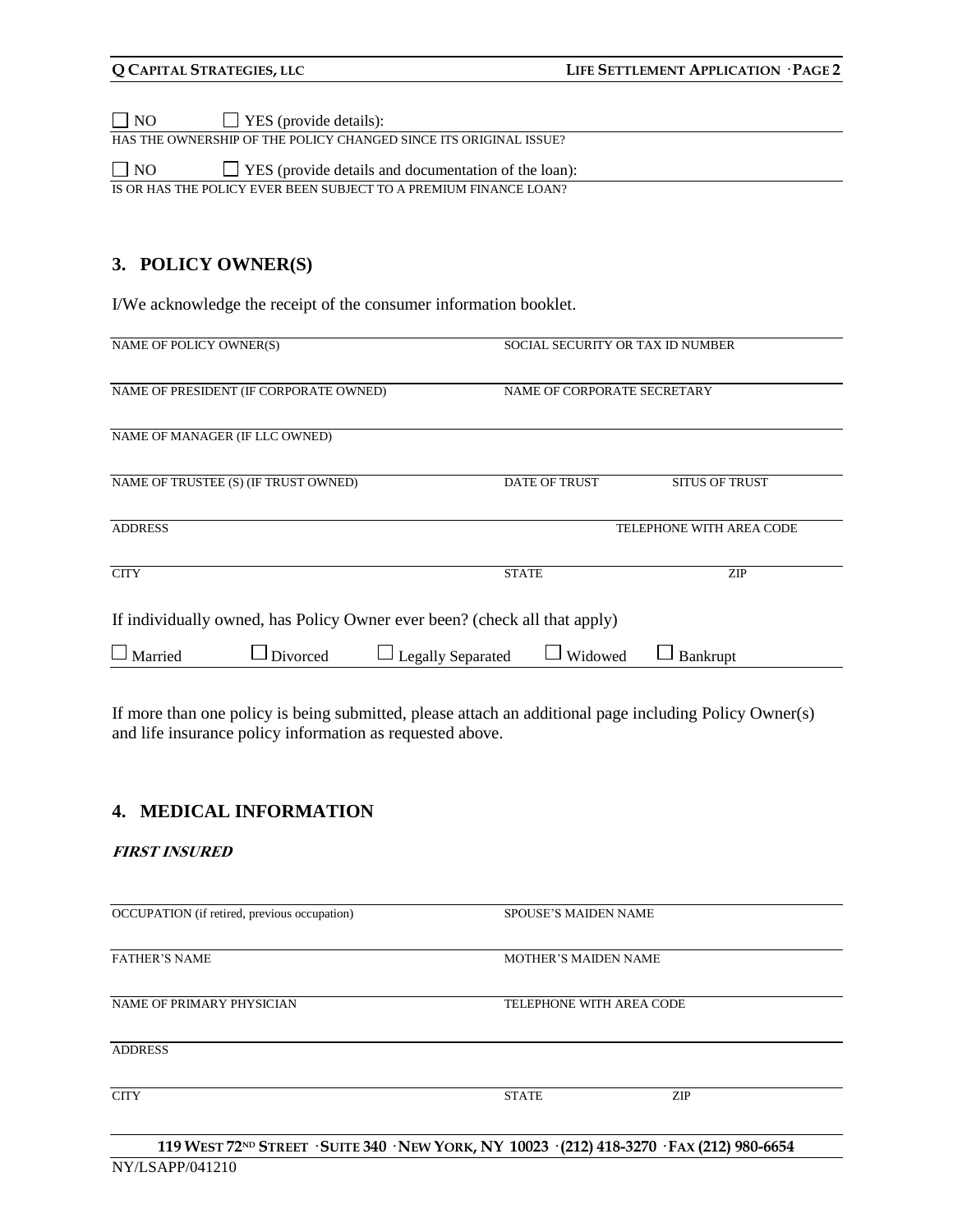NO YES (provide details):

HAS THE OWNERSHIP OF THE POLICY CHANGED SINCE ITS ORIGINAL ISSUE?

 $\Box$  NO  $\Box$  YES (provide details and documentation of the loan): IS OR HAS THE POLICY EVER BEEN SUBJECT TO A PREMIUM FINANCE LOAN?

#### **3. POLICY OWNER(S)**

I/We acknowledge the receipt of the consumer information booklet.

| NAME OF POLICY OWNER(S)        |                                                                           | SOCIAL SECURITY OR TAX ID NUMBER |              |                             |                          |
|--------------------------------|---------------------------------------------------------------------------|----------------------------------|--------------|-----------------------------|--------------------------|
|                                | NAME OF PRESIDENT (IF CORPORATE OWNED)                                    |                                  |              | NAME OF CORPORATE SECRETARY |                          |
| NAME OF MANAGER (IF LLC OWNED) |                                                                           |                                  |              |                             |                          |
|                                | NAME OF TRUSTEE (S) (IF TRUST OWNED)                                      |                                  |              | <b>DATE OF TRUST</b>        | <b>SITUS OF TRUST</b>    |
| <b>ADDRESS</b>                 |                                                                           |                                  |              |                             | TELEPHONE WITH AREA CODE |
| <b>CITY</b>                    |                                                                           |                                  | <b>STATE</b> |                             | <b>ZIP</b>               |
|                                | If individually owned, has Policy Owner ever been? (check all that apply) |                                  |              |                             |                          |
| Married                        | Divorced                                                                  | <b>Legally Separated</b>         |              | Widowed                     | Bankrupt                 |
|                                |                                                                           |                                  |              |                             |                          |

If more than one policy is being submitted, please attach an additional page including Policy Owner(s) and life insurance policy information as requested above.

#### **4. MEDICAL INFORMATION**

#### **FIRST INSURED**

OCCUPATION (if retired, previous occupation) SPOUSE'S MAIDEN NAME **FATHER'S NAME** MOTHER'S MAIDEN NAME NAME OF PRIMARY PHYSICIAN TELEPHONE WITH AREA CODE ADDRESS CITY STATE ZIP

119 WEST 72ND STREET · SUITE 340 · NEW YORK, NY 10023 · (212) 418-3270 · FAX (212) 980-6654 NY/LSAPP/041210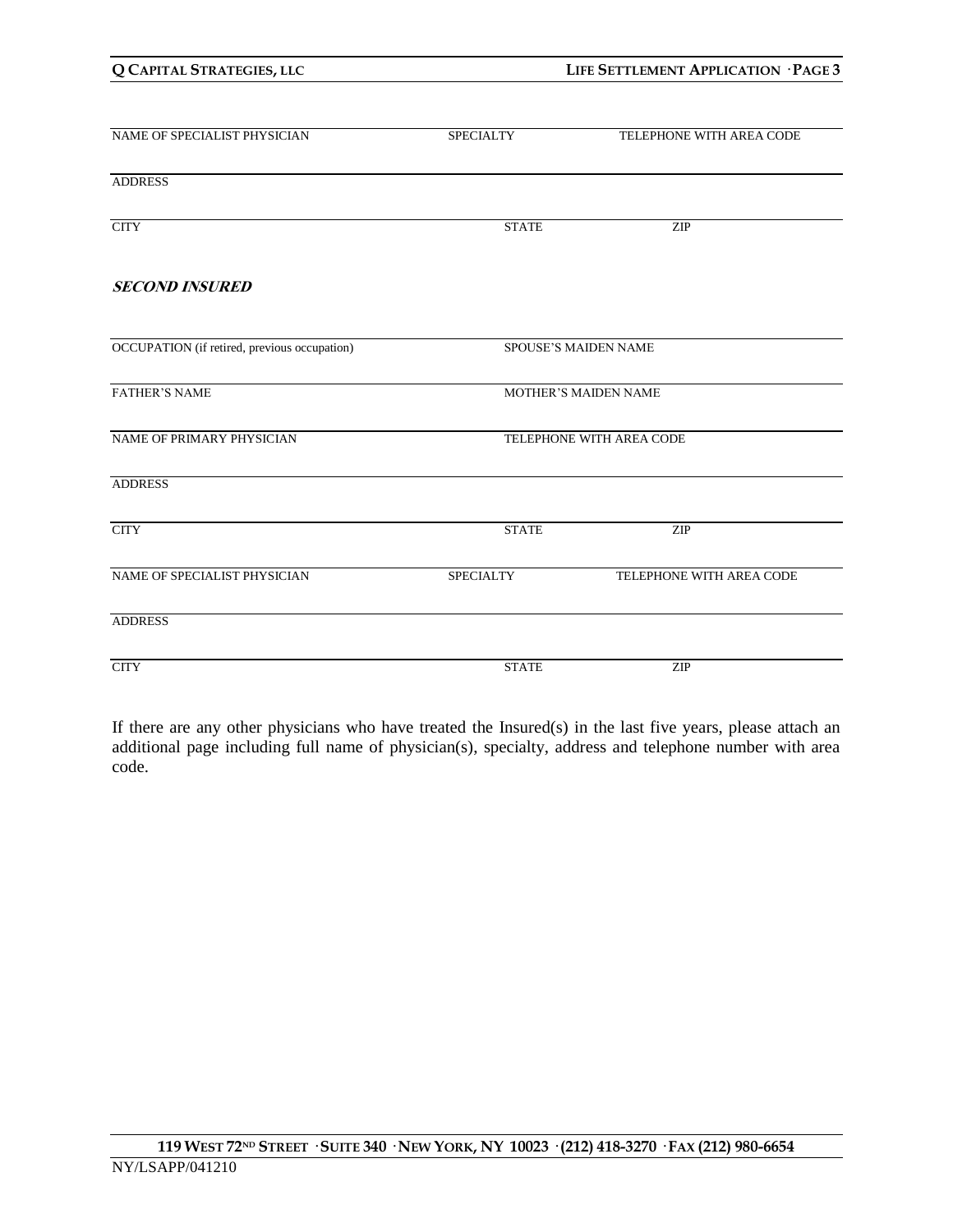| NAME OF SPECIALIST PHYSICIAN                 | <b>SPECIALTY</b>            | TELEPHONE WITH AREA CODE    |
|----------------------------------------------|-----------------------------|-----------------------------|
| <b>ADDRESS</b>                               |                             |                             |
| <b>CITY</b>                                  | <b>STATE</b>                | ZIP                         |
| <b>SECOND INSURED</b>                        |                             |                             |
| OCCUPATION (if retired, previous occupation) |                             | <b>SPOUSE'S MAIDEN NAME</b> |
| <b>FATHER'S NAME</b>                         | <b>MOTHER'S MAIDEN NAME</b> |                             |
| NAME OF PRIMARY PHYSICIAN                    | TELEPHONE WITH AREA CODE    |                             |
| <b>ADDRESS</b>                               |                             |                             |
| $\rm CITY$                                   | <b>STATE</b>                | ZIP                         |
| NAME OF SPECIALIST PHYSICIAN                 | <b>SPECIALTY</b>            | TELEPHONE WITH AREA CODE    |
| <b>ADDRESS</b>                               |                             |                             |
| <b>CITY</b>                                  | <b>STATE</b>                | ZIP                         |

If there are any other physicians who have treated the Insured(s) in the last five years, please attach an additional page including full name of physician(s), specialty, address and telephone number with area code.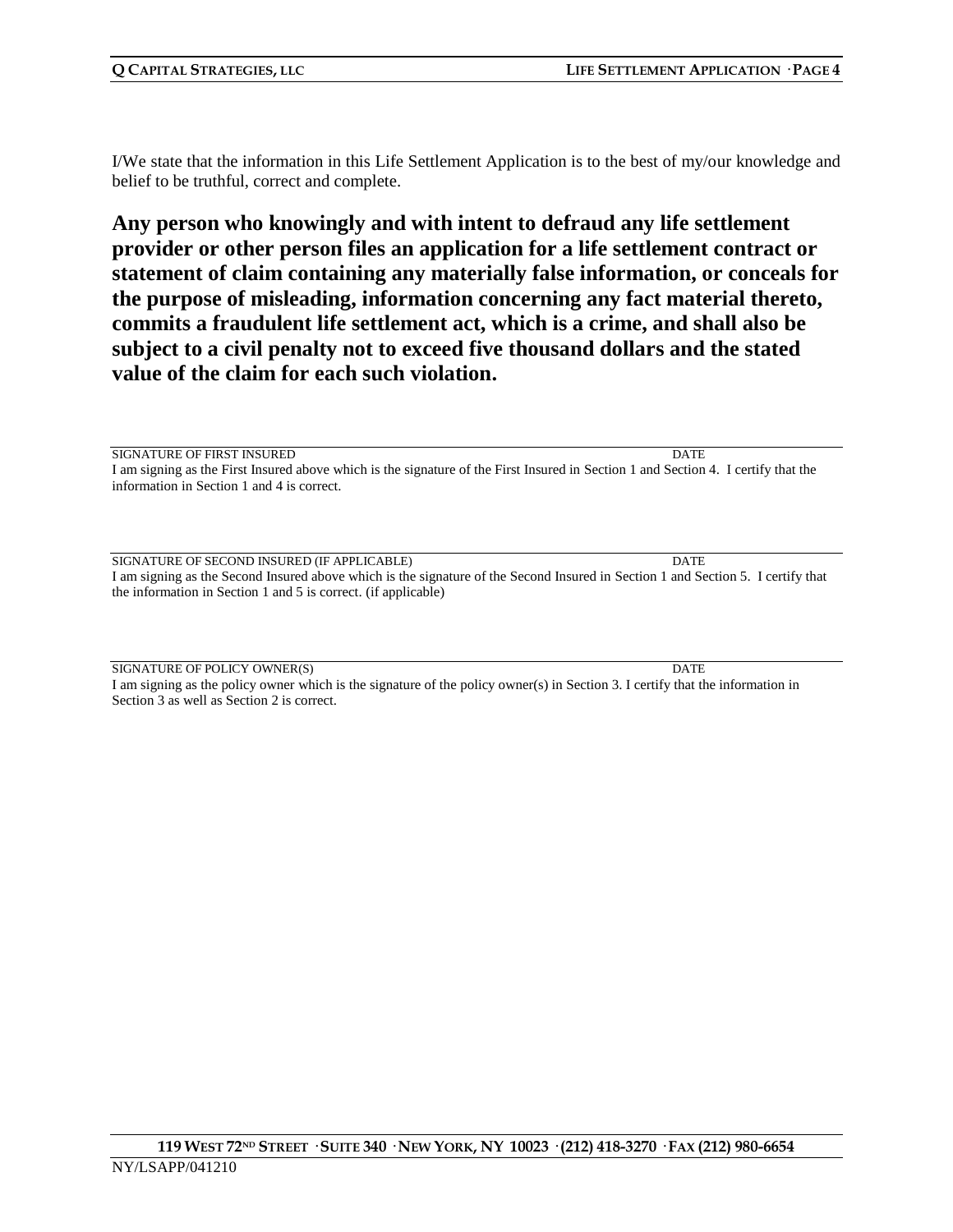I/We state that the information in this Life Settlement Application is to the best of my/our knowledge and belief to be truthful, correct and complete.

**Any person who knowingly and with intent to defraud any life settlement provider or other person files an application for a life settlement contract or statement of claim containing any materially false information, or conceals for the purpose of misleading, information concerning any fact material thereto, commits a fraudulent life settlement act, which is a crime, and shall also be subject to a civil penalty not to exceed five thousand dollars and the stated value of the claim for each such violation.**

SIGNATURE OF FIRST INSURED DATE I am signing as the First Insured above which is the signature of the First Insured in Section 1 and Section 4. I certify that the information in Section 1 and 4 is correct.

SIGNATURE OF SECOND INSURED (IF APPLICABLE) DATE I am signing as the Second Insured above which is the signature of the Second Insured in Section 1 and Section 5. I certify that the information in Section 1 and 5 is correct. (if applicable)

SIGNATURE OF POLICY OWNER(S) DATE I am signing as the policy owner which is the signature of the policy owner(s) in Section 3. I certify that the information in Section 3 as well as Section 2 is correct.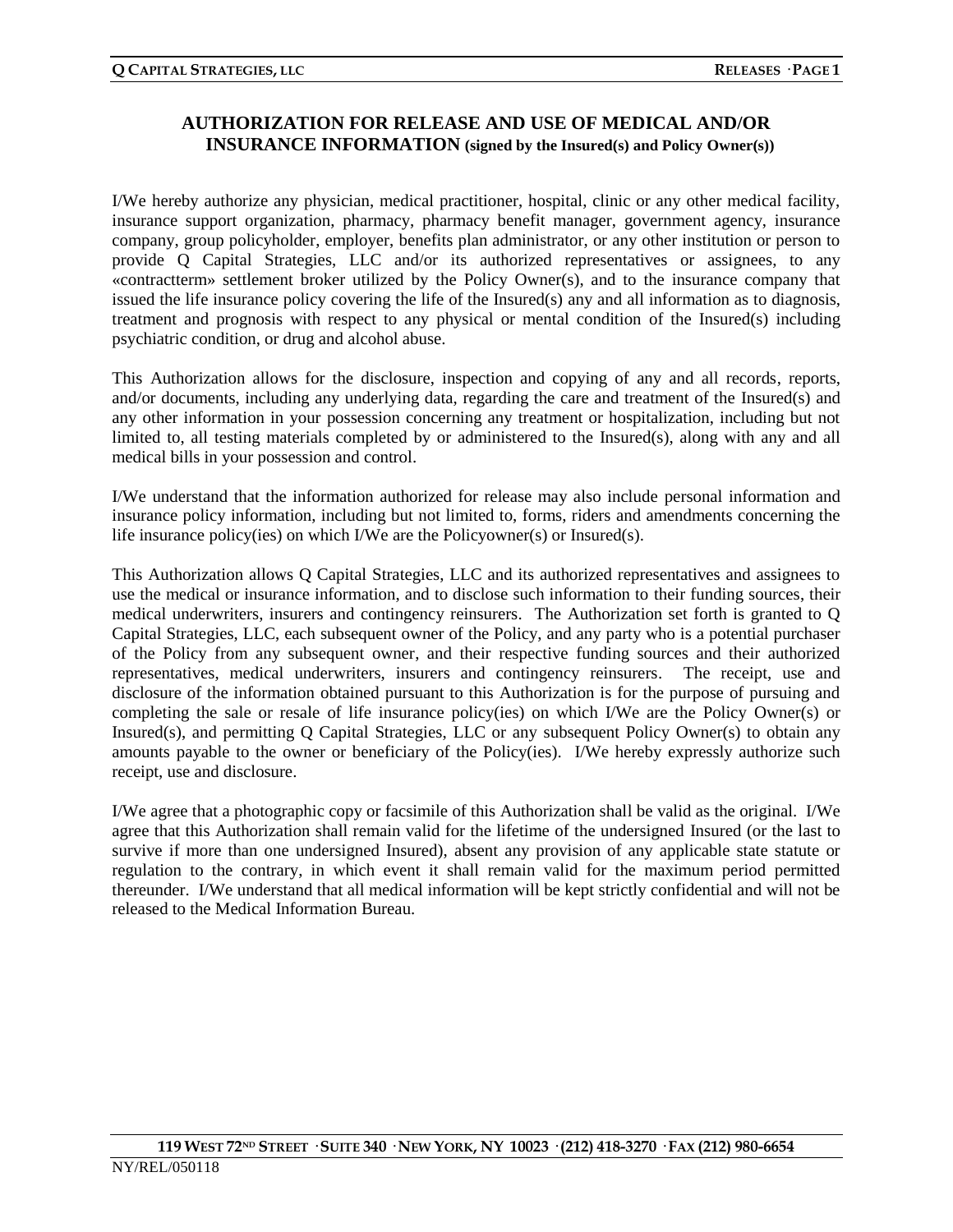### **AUTHORIZATION FOR RELEASE AND USE OF MEDICAL AND/OR INSURANCE INFORMATION (signed by the Insured(s) and Policy Owner(s))**

I/We hereby authorize any physician, medical practitioner, hospital, clinic or any other medical facility, insurance support organization, pharmacy, pharmacy benefit manager, government agency, insurance company, group policyholder, employer, benefits plan administrator, or any other institution or person to provide Q Capital Strategies, LLC and/or its authorized representatives or assignees, to any «contractterm» settlement broker utilized by the Policy Owner(s), and to the insurance company that issued the life insurance policy covering the life of the Insured(s) any and all information as to diagnosis, treatment and prognosis with respect to any physical or mental condition of the Insured(s) including psychiatric condition, or drug and alcohol abuse.

This Authorization allows for the disclosure, inspection and copying of any and all records, reports, and/or documents, including any underlying data, regarding the care and treatment of the Insured(s) and any other information in your possession concerning any treatment or hospitalization, including but not limited to, all testing materials completed by or administered to the Insured(s), along with any and all medical bills in your possession and control.

I/We understand that the information authorized for release may also include personal information and insurance policy information, including but not limited to, forms, riders and amendments concerning the life insurance policy(ies) on which I/We are the Policyowner(s) or Insured(s).

This Authorization allows Q Capital Strategies, LLC and its authorized representatives and assignees to use the medical or insurance information, and to disclose such information to their funding sources, their medical underwriters, insurers and contingency reinsurers. The Authorization set forth is granted to Q Capital Strategies, LLC, each subsequent owner of the Policy, and any party who is a potential purchaser of the Policy from any subsequent owner, and their respective funding sources and their authorized representatives, medical underwriters, insurers and contingency reinsurers. The receipt, use and disclosure of the information obtained pursuant to this Authorization is for the purpose of pursuing and completing the sale or resale of life insurance policy(ies) on which I/We are the Policy Owner(s) or Insured(s), and permitting Q Capital Strategies, LLC or any subsequent Policy Owner(s) to obtain any amounts payable to the owner or beneficiary of the Policy(ies). I/We hereby expressly authorize such receipt, use and disclosure.

I/We agree that a photographic copy or facsimile of this Authorization shall be valid as the original. I/We agree that this Authorization shall remain valid for the lifetime of the undersigned Insured (or the last to survive if more than one undersigned Insured), absent any provision of any applicable state statute or regulation to the contrary, in which event it shall remain valid for the maximum period permitted thereunder. I/We understand that all medical information will be kept strictly confidential and will not be released to the Medical Information Bureau.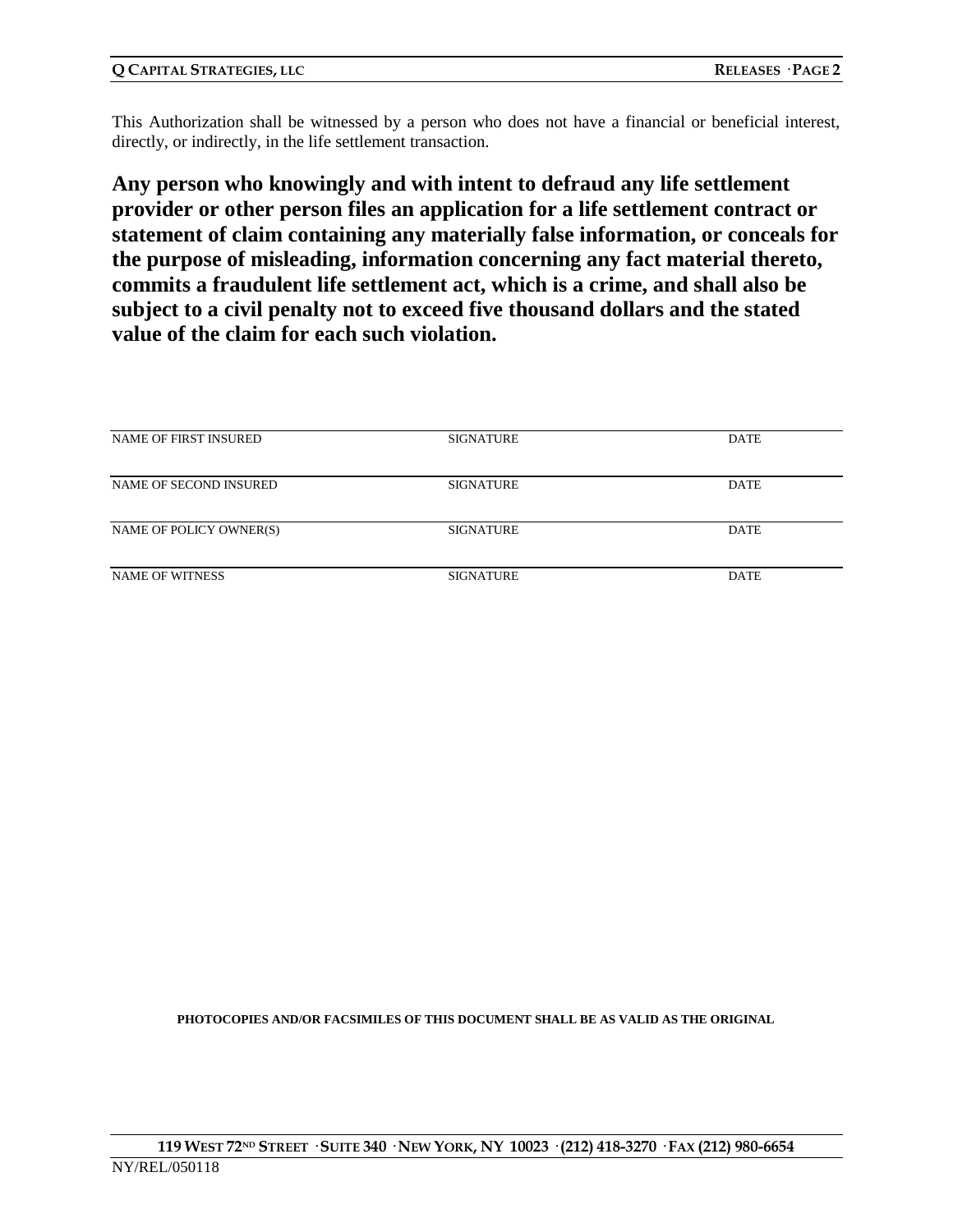This Authorization shall be witnessed by a person who does not have a financial or beneficial interest, directly, or indirectly, in the life settlement transaction.

**Any person who knowingly and with intent to defraud any life settlement provider or other person files an application for a life settlement contract or statement of claim containing any materially false information, or conceals for the purpose of misleading, information concerning any fact material thereto, commits a fraudulent life settlement act, which is a crime, and shall also be subject to a civil penalty not to exceed five thousand dollars and the stated value of the claim for each such violation.**

| NAME OF FIRST INSURED   | <b>SIGNATURE</b> | DATE        |
|-------------------------|------------------|-------------|
|                         |                  |             |
| NAME OF SECOND INSURED  | <b>SIGNATURE</b> | <b>DATE</b> |
|                         |                  |             |
| NAME OF POLICY OWNER(S) | <b>SIGNATURE</b> | <b>DATE</b> |
|                         |                  |             |
| <b>NAME OF WITNESS</b>  | <b>SIGNATURE</b> | <b>DATE</b> |
|                         |                  |             |

**PHOTOCOPIES AND/OR FACSIMILES OF THIS DOCUMENT SHALL BE AS VALID AS THE ORIGINAL**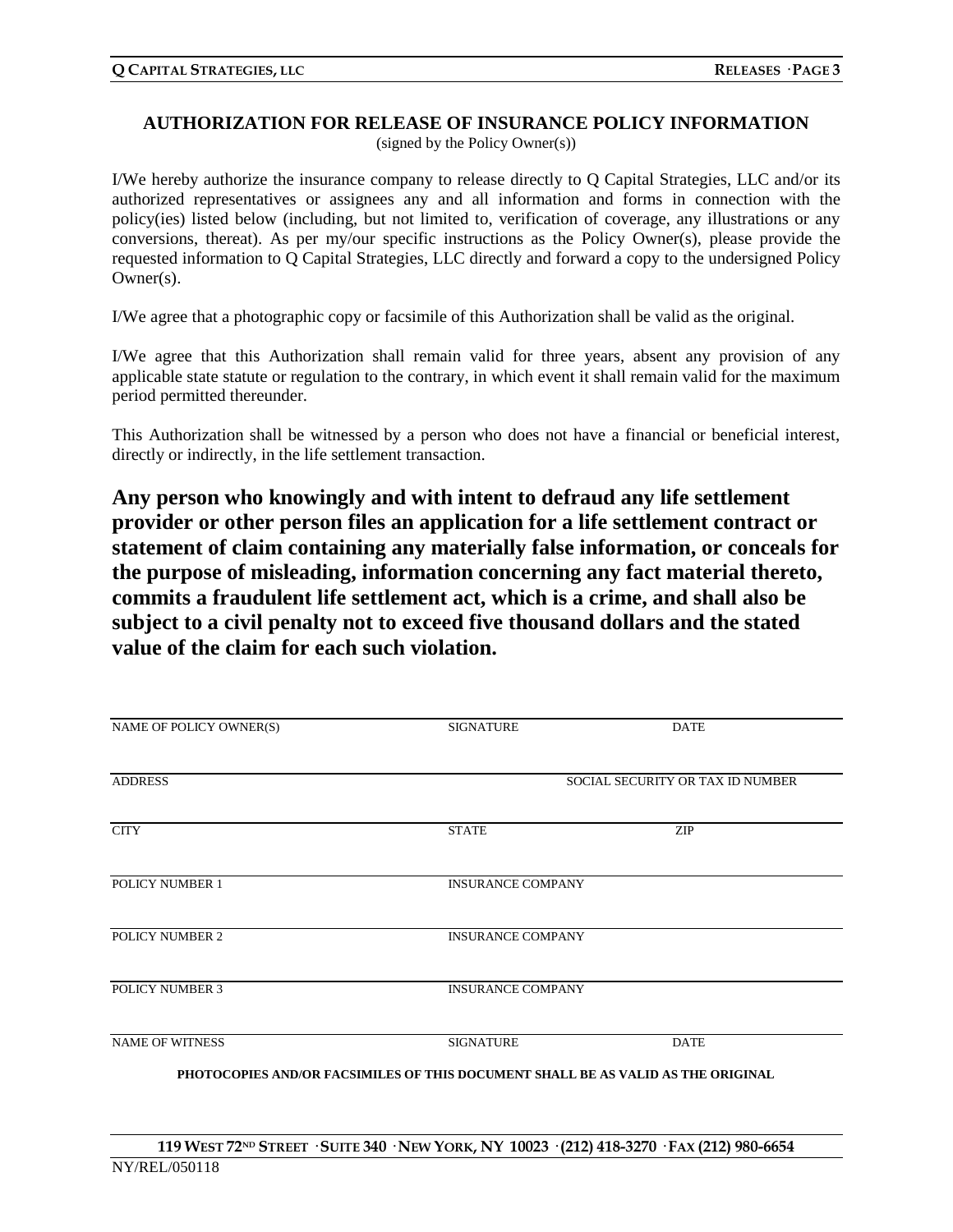#### **AUTHORIZATION FOR RELEASE OF INSURANCE POLICY INFORMATION**

(signed by the Policy Owner(s))

I/We hereby authorize the insurance company to release directly to Q Capital Strategies, LLC and/or its authorized representatives or assignees any and all information and forms in connection with the policy(ies) listed below (including, but not limited to, verification of coverage, any illustrations or any conversions, thereat). As per my/our specific instructions as the Policy Owner(s), please provide the requested information to Q Capital Strategies, LLC directly and forward a copy to the undersigned Policy Owner(s).

I/We agree that a photographic copy or facsimile of this Authorization shall be valid as the original.

I/We agree that this Authorization shall remain valid for three years, absent any provision of any applicable state statute or regulation to the contrary, in which event it shall remain valid for the maximum period permitted thereunder.

This Authorization shall be witnessed by a person who does not have a financial or beneficial interest, directly or indirectly, in the life settlement transaction.

**Any person who knowingly and with intent to defraud any life settlement provider or other person files an application for a life settlement contract or statement of claim containing any materially false information, or conceals for the purpose of misleading, information concerning any fact material thereto, commits a fraudulent life settlement act, which is a crime, and shall also be subject to a civil penalty not to exceed five thousand dollars and the stated value of the claim for each such violation.**

| NAME OF POLICY OWNER(S) | <b>SIGNATURE</b>                                                                 | <b>DATE</b>                      |
|-------------------------|----------------------------------------------------------------------------------|----------------------------------|
| <b>ADDRESS</b>          |                                                                                  | SOCIAL SECURITY OR TAX ID NUMBER |
| <b>CITY</b>             | <b>STATE</b>                                                                     | ZIP                              |
| POLICY NUMBER 1         | <b>INSURANCE COMPANY</b>                                                         |                                  |
| POLICY NUMBER 2         | <b>INSURANCE COMPANY</b>                                                         |                                  |
| <b>POLICY NUMBER 3</b>  | <b>INSURANCE COMPANY</b>                                                         |                                  |
| <b>NAME OF WITNESS</b>  | <b>SIGNATURE</b>                                                                 | <b>DATE</b>                      |
|                         | PHOTOCOPIES AND/OR FACSIMILES OF THIS DOCUMENT SHALL BE AS VALID AS THE ORIGINAL |                                  |
|                         |                                                                                  |                                  |
|                         |                                                                                  |                                  |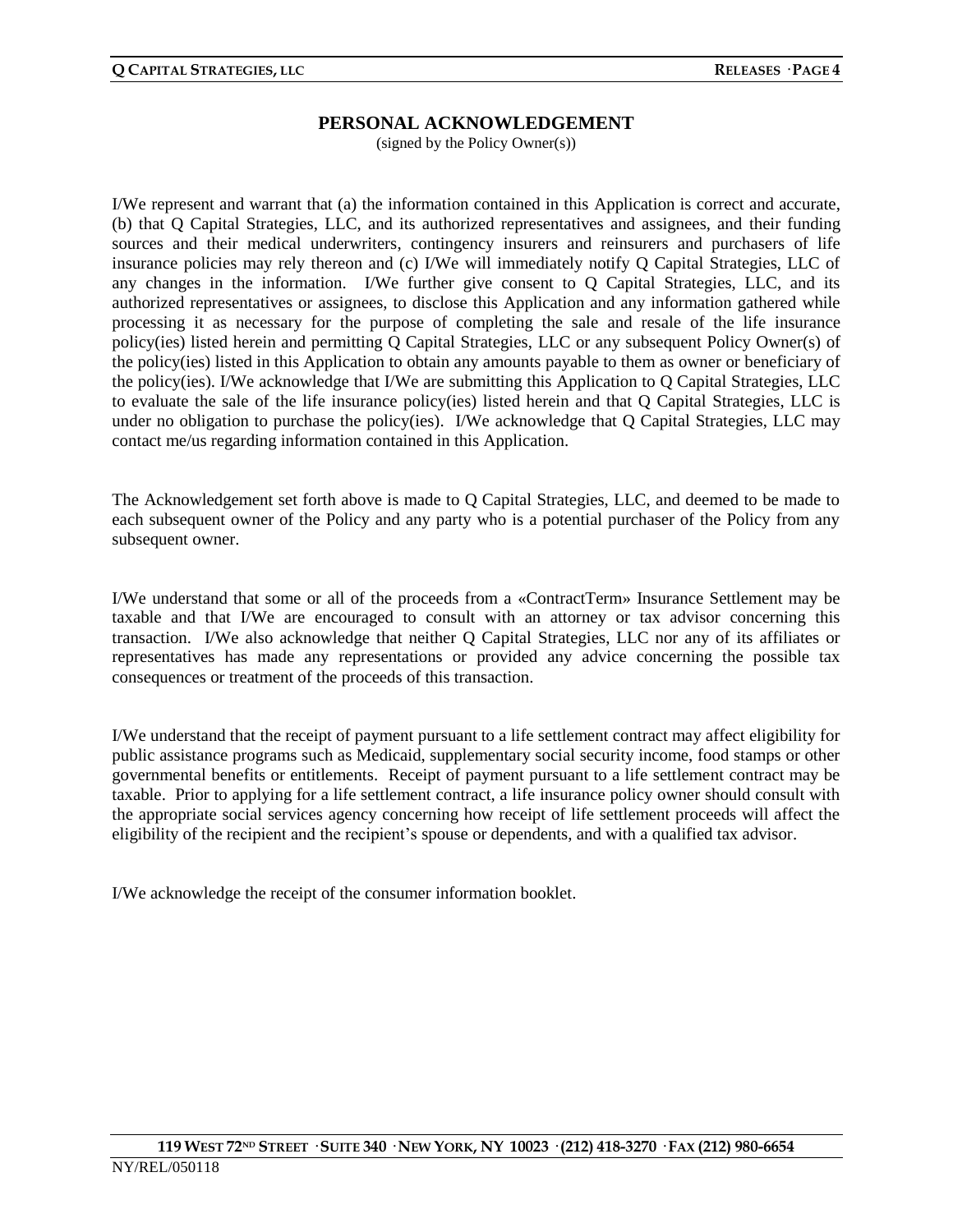#### **PERSONAL ACKNOWLEDGEMENT**

(signed by the Policy Owner(s))

I/We represent and warrant that (a) the information contained in this Application is correct and accurate, (b) that Q Capital Strategies, LLC, and its authorized representatives and assignees, and their funding sources and their medical underwriters, contingency insurers and reinsurers and purchasers of life insurance policies may rely thereon and (c) I/We will immediately notify Q Capital Strategies, LLC of any changes in the information. I/We further give consent to Q Capital Strategies, LLC, and its authorized representatives or assignees, to disclose this Application and any information gathered while processing it as necessary for the purpose of completing the sale and resale of the life insurance policy(ies) listed herein and permitting Q Capital Strategies, LLC or any subsequent Policy Owner(s) of the policy(ies) listed in this Application to obtain any amounts payable to them as owner or beneficiary of the policy(ies). I/We acknowledge that I/We are submitting this Application to Q Capital Strategies, LLC to evaluate the sale of the life insurance policy(ies) listed herein and that Q Capital Strategies, LLC is under no obligation to purchase the policy(ies). I/We acknowledge that Q Capital Strategies, LLC may contact me/us regarding information contained in this Application.

The Acknowledgement set forth above is made to Q Capital Strategies, LLC, and deemed to be made to each subsequent owner of the Policy and any party who is a potential purchaser of the Policy from any subsequent owner.

I/We understand that some or all of the proceeds from a «ContractTerm» Insurance Settlement may be taxable and that I/We are encouraged to consult with an attorney or tax advisor concerning this transaction. I/We also acknowledge that neither Q Capital Strategies, LLC nor any of its affiliates or representatives has made any representations or provided any advice concerning the possible tax consequences or treatment of the proceeds of this transaction.

I/We understand that the receipt of payment pursuant to a life settlement contract may affect eligibility for public assistance programs such as Medicaid, supplementary social security income, food stamps or other governmental benefits or entitlements. Receipt of payment pursuant to a life settlement contract may be taxable. Prior to applying for a life settlement contract, a life insurance policy owner should consult with the appropriate social services agency concerning how receipt of life settlement proceeds will affect the eligibility of the recipient and the recipient's spouse or dependents, and with a qualified tax advisor.

I/We acknowledge the receipt of the consumer information booklet.